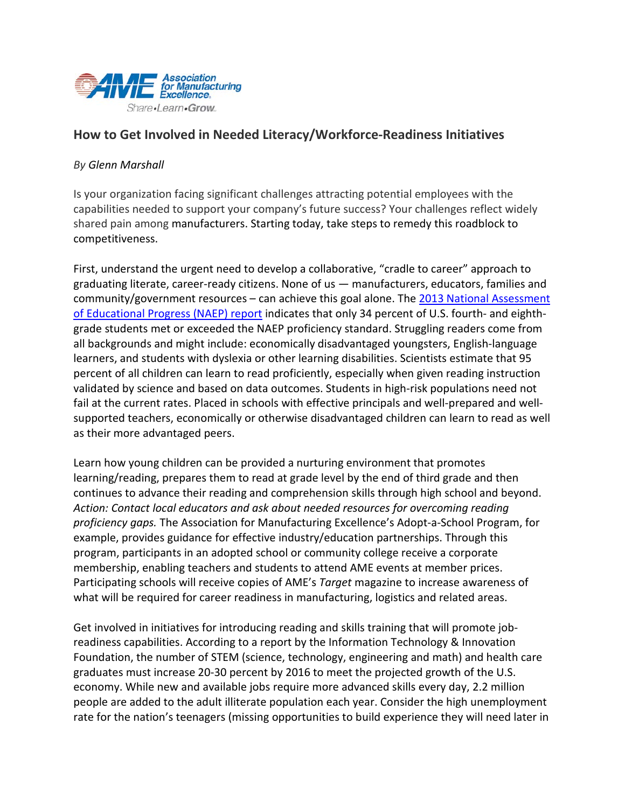

## **How to Get Involved in Needed Literacy/Workforce-Readiness Initiatives**

## *By Glenn Marshall*

Is your organization facing significant challenges attracting potential employees with the capabilities needed to support your company's future success? Your challenges reflect widely shared pain among manufacturers. Starting today, take steps to remedy this roadblock to competitiveness.

First, understand the urgent need to develop a collaborative, "cradle to career" approach to graduating literate, career-ready citizens. None of us — manufacturers, educators, families and community/government resources – can achieve this goal alone. The 2013 Nationa[l Assessment](http://www.doe.virginia.gov/news/news_releases/2013/nov07_gov.shtml)  [of Educational Progress](http://www.doe.virginia.gov/news/news_releases/2013/nov07_gov.shtml) (NAEP) report indicates that only 34 percent of U.S. fourth- and eighthgrade students met or exceeded the NAEP proficiency standard. Struggling readers come from all backgrounds and might include: economically disadvantaged youngsters, English-language learners, and students with dyslexia or other learning disabilities. Scientists estimate tha[t 95](http://www.aft.org/pdfs/teachers/rocketscience0304.pdf)  [percent of all children](http://www.aft.org/pdfs/teachers/rocketscience0304.pdf) can learn to read proficiently, especially when given reading instruction validated by science and based on data outcomes. Students in [high-risk populations](http://www.huffingtonpost.com/robin/youth-promise-act_b_2909085.html) need not fail at the current rates. Placed in schools with effective principals and [well-prepared and well](http://www.literacyhow.com/our-story/the-literacy-imperative/)[supported teachers,](http://www.literacyhow.com/our-story/the-literacy-imperative/) economically or otherwise disadvantaged children can learn to read as well as their more advantaged peers.

Learn how young children can be provided a nurturing environment that promotes learning/reading, prepares them to read at grade level by the end of third grade and then continues to advance their reading and comprehension skills through high school and beyond. *Action: Contact local educators and ask about needed resources for overcoming reading proficiency gaps.* The Association for Manufacturing Excellence's Adopt-a-School Program, for example, provides guidance for effective industry/education partnerships. Through this program, participants in an adopted school or community college receive a corporate membership, enabling teachers and students to attend AME events at member prices. Participating schools will receive copies of AME's *Target* [magazine](http://www.ame.org/target) to increase awareness of what will be required for career readiness in manufacturing, logistics and related areas.

Get involved in initiatives for introducing reading and skills training that will promote jobreadiness capabilities. According to a [report](http://www.itif.org/publications/refueling-us-innovation-economy-fresh-approaches-stem-education) by the Information Technology & Innovation Foundation, the number of STEM [\(science, technology, engineering](http://www.education.virginia.gov/Docs/VA-STEM-H-Sept%202012_FINAL.pdf) and math) and health care graduates must increase 20-30 percent by 2016 to meet the projected growth of the U.S. economy. While new and available jobs require more advanced skills every day, 2.2 million people are added to the [adult illiterate population](http://www.ed.gov/) each year. Consider the high unemployment rate for the nation's teenagers (missing opportunities to build experience they will need later in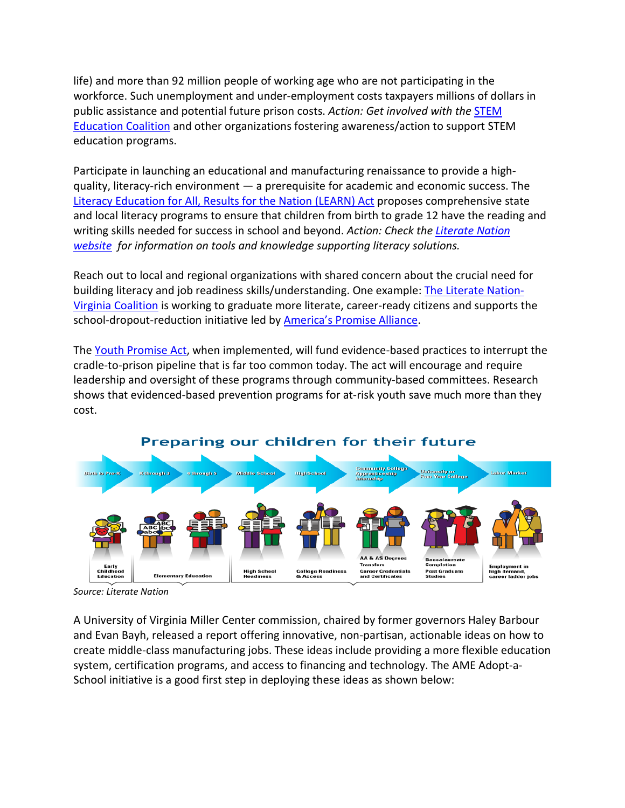life) and more than 92 million people of working age who are not participating in the workforce. Such unemployment and under-employment costs taxpayers millions of dollars in public assistance and potential future prison costs. *Action: Get involved with the* [STEM](http://www.stemedcoalition.org/)  [Education Coalition](http://www.stemedcoalition.org/) and other organizations fostering awareness/action to support STEM education programs.

Participate in launching an educational and manufacturing renaissance to provide a highquality, literacy-rich environment — a prerequisite for academic and economic success. The [Literacy Education for All, Results for the Nation](http://www.murray.senate.gov/education/LEARNact.pdf) (LEARN) Act proposes comprehensive state and local literacy programs to ensure that children from birth to grade 12 have the reading and writing skills needed for success in school and beyond. *Action: Check the [Literate Nation](http://literatenation.org/)  [website](http://literatenation.org/) for information on tools and knowledge supporting literacy solutions.*

Reach out to local and regional organizations with shared concern about the crucial need for building literacy and job readiness skills/understanding. One example: Th[e Literate Nation-](http://literatenation.org/wp-content/uploads/2013/10/LiterateNationVACoalitionBriefRevised.pdf)[Virginia Coalition](http://literatenation.org/wp-content/uploads/2013/10/LiterateNationVACoalitionBriefRevised.pdf) is working to graduate more [literate, career-ready citizens](http://literatenation.org/wp-content/uploads/2013/10/LiterateNationVACoalitionBriefRevised.pdf) and supports the school-dropout-reduction initiative led by [America's Promise Alliance.](http://www.americaspromise.org/Our-Work/Grad-Nation.aspx)

The [Youth Promise Act,](http://youthpromiseaction.org/about-bill.html) when implemented, will fund evidence-based practices to interrupt the cradle-to-prison pipeline that is far too common today. The act will encourage and require leadership and oversight of these programs through community-based committees. Research shows that evidenced-based [prevention programs for at-risk youth s](http://www.bobbyscott.house.gov/youth-promise-act/)ave much more than they cost.



## Preparing our children for their future

A University of Virginia Miller Center commission, chaired by former governors Haley Barbour and Evan Bayh, released a report offering innovative, non-partisan, actionable ideas on how to create middle-class manufacturing jobs. These ideas include providing a more flexible education system, certification programs, and access to financing and technology. The AME Adopt-a-School initiative is a good first step in deploying these ideas as shown below:

*Source: Literate Nation*